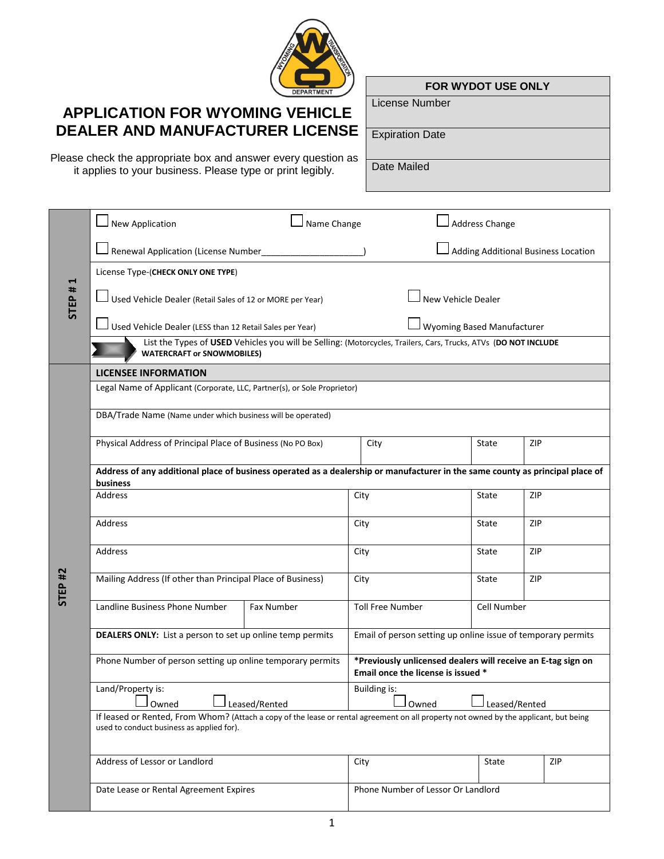

## **APPLICATION FOR WYOMING VEHICLE DEALER AND MANUFACTURER LICENSE**

Please check the appropriate box and answer every question as it applies to your business. Please type or print legibly.

**FOR WYDOT USE ONLY**

License Number

Expiration Date

Date Mailed

|                    | $\Box$ New Application                                                                                                                                                             | Name Change       |                                                                                                    | <b>Address Change</b>               |             |     |     |  |
|--------------------|------------------------------------------------------------------------------------------------------------------------------------------------------------------------------------|-------------------|----------------------------------------------------------------------------------------------------|-------------------------------------|-------------|-----|-----|--|
| STEP#1             | Renewal Application (License Number_____                                                                                                                                           |                   |                                                                                                    | Adding Additional Business Location |             |     |     |  |
|                    | License Type-(CHECK ONLY ONE TYPE)                                                                                                                                                 |                   |                                                                                                    |                                     |             |     |     |  |
|                    | Used Vehicle Dealer (Retail Sales of 12 or MORE per Year)                                                                                                                          |                   | New Vehicle Dealer                                                                                 |                                     |             |     |     |  |
|                    | $\Box$ Used Vehicle Dealer (LESS than 12 Retail Sales per Year)                                                                                                                    |                   |                                                                                                    | Wyoming Based Manufacturer          |             |     |     |  |
|                    | List the Types of USED Vehicles you will be Selling: (Motorcycles, Trailers, Cars, Trucks, ATVs (DO NOT INCLUDE<br><b>WATERCRAFT or SNOWMOBILES)</b>                               |                   |                                                                                                    |                                     |             |     |     |  |
|                    | <b>LICENSEE INFORMATION</b>                                                                                                                                                        |                   |                                                                                                    |                                     |             |     |     |  |
|                    | Legal Name of Applicant (Corporate, LLC, Partner(s), or Sole Proprietor)                                                                                                           |                   |                                                                                                    |                                     |             |     |     |  |
|                    | DBA/Trade Name (Name under which business will be operated)                                                                                                                        |                   |                                                                                                    |                                     |             |     |     |  |
|                    | Physical Address of Principal Place of Business (No PO Box)                                                                                                                        |                   |                                                                                                    | City                                | State       | ZIP |     |  |
|                    | Address of any additional place of business operated as a dealership or manufacturer in the same county as principal place of<br>business                                          |                   |                                                                                                    |                                     |             |     |     |  |
|                    | Address                                                                                                                                                                            |                   | City                                                                                               |                                     | State       | ZIP |     |  |
| STEP <sub>#2</sub> | Address                                                                                                                                                                            |                   | City<br>State                                                                                      |                                     | ZIP         |     |     |  |
|                    | Address                                                                                                                                                                            |                   | City                                                                                               |                                     | State       | ZIP |     |  |
|                    | Mailing Address (If other than Principal Place of Business)                                                                                                                        |                   | City                                                                                               |                                     | State       | ZIP |     |  |
|                    | Landline Business Phone Number                                                                                                                                                     | <b>Fax Number</b> |                                                                                                    | <b>Toll Free Number</b>             | Cell Number |     |     |  |
|                    | DEALERS ONLY: List a person to set up online temp permits                                                                                                                          |                   | Email of person setting up online issue of temporary permits                                       |                                     |             |     |     |  |
|                    | Phone Number of person setting up online temporary permits                                                                                                                         |                   | *Previously unlicensed dealers will receive an E-tag sign on<br>Email once the license is issued * |                                     |             |     |     |  |
|                    | Land/Property is:<br>┌─┐<br>$\overline{\phantom{a}}$<br>⊥Leased/Rented<br>Owned                                                                                                    |                   | Building is:<br><b>International Properties</b><br>Owned<br>Leased/Rented                          |                                     |             |     |     |  |
|                    | If leased or Rented, From Whom? (Attach a copy of the lease or rental agreement on all property not owned by the applicant, but being<br>used to conduct business as applied for). |                   |                                                                                                    |                                     |             |     |     |  |
|                    | Address of Lessor or Landlord                                                                                                                                                      |                   | City                                                                                               |                                     | State       |     | ZIP |  |
|                    | Date Lease or Rental Agreement Expires                                                                                                                                             |                   | Phone Number of Lessor Or Landlord                                                                 |                                     |             |     |     |  |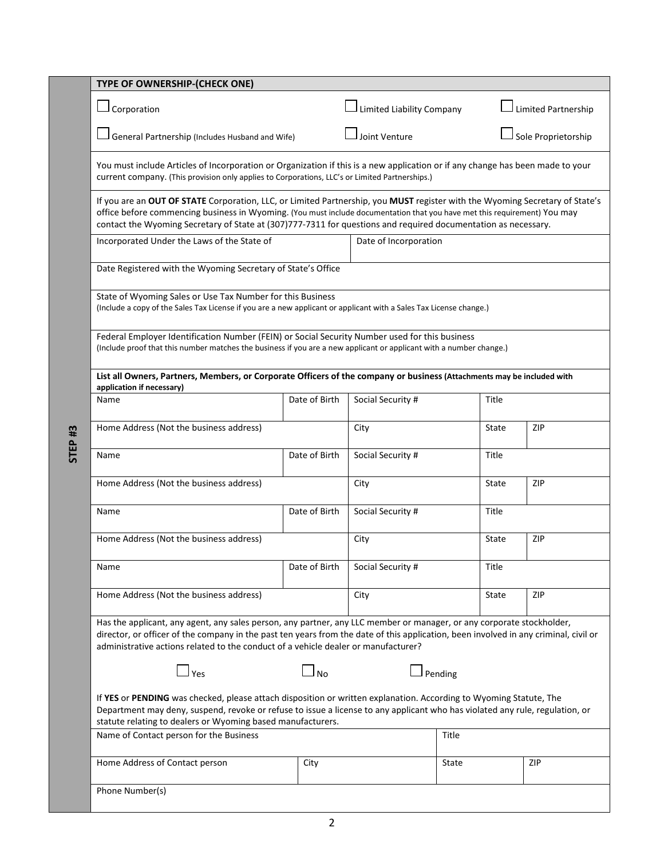|                    | TYPE OF OWNERSHIP-(CHECK ONE)                                                                                                                                                                                                                                                                                                                                               |                       |                                  |         |                     |     |  |
|--------------------|-----------------------------------------------------------------------------------------------------------------------------------------------------------------------------------------------------------------------------------------------------------------------------------------------------------------------------------------------------------------------------|-----------------------|----------------------------------|---------|---------------------|-----|--|
|                    | Corporation                                                                                                                                                                                                                                                                                                                                                                 |                       | <b>Limited Liability Company</b> |         | Limited Partnership |     |  |
|                    | General Partnership (Includes Husband and Wife)                                                                                                                                                                                                                                                                                                                             |                       | Joint Venture                    |         | Sole Proprietorship |     |  |
|                    | You must include Articles of Incorporation or Organization if this is a new application or if any change has been made to your<br>current company. (This provision only applies to Corporations, LLC's or Limited Partnerships.)                                                                                                                                            |                       |                                  |         |                     |     |  |
|                    | If you are an OUT OF STATE Corporation, LLC, or Limited Partnership, you MUST register with the Wyoming Secretary of State's<br>office before commencing business in Wyoming. (You must include documentation that you have met this requirement) You may<br>contact the Wyoming Secretary of State at (307)777-7311 for questions and required documentation as necessary. |                       |                                  |         |                     |     |  |
|                    | Incorporated Under the Laws of the State of                                                                                                                                                                                                                                                                                                                                 | Date of Incorporation |                                  |         |                     |     |  |
|                    | Date Registered with the Wyoming Secretary of State's Office                                                                                                                                                                                                                                                                                                                |                       |                                  |         |                     |     |  |
|                    | State of Wyoming Sales or Use Tax Number for this Business<br>(Include a copy of the Sales Tax License if you are a new applicant or applicant with a Sales Tax License change.)                                                                                                                                                                                            |                       |                                  |         |                     |     |  |
|                    | Federal Employer Identification Number (FEIN) or Social Security Number used for this business<br>(Include proof that this number matches the business if you are a new applicant or applicant with a number change.)                                                                                                                                                       |                       |                                  |         |                     |     |  |
|                    | List all Owners, Partners, Members, or Corporate Officers of the company or business (Attachments may be included with<br>application if necessary)                                                                                                                                                                                                                         |                       |                                  |         |                     |     |  |
| STEP <sub>#3</sub> | Name                                                                                                                                                                                                                                                                                                                                                                        | Date of Birth         | Social Security #                |         | Title               |     |  |
|                    | Home Address (Not the business address)                                                                                                                                                                                                                                                                                                                                     |                       | City                             |         | State               | ZIP |  |
|                    | Name                                                                                                                                                                                                                                                                                                                                                                        | Date of Birth         | Social Security #                |         | Title               |     |  |
|                    | Home Address (Not the business address)                                                                                                                                                                                                                                                                                                                                     |                       | City                             |         | State               | ZIP |  |
|                    | Name                                                                                                                                                                                                                                                                                                                                                                        | Date of Birth         | Social Security #                |         | Title               |     |  |
|                    | Home Address (Not the business address)                                                                                                                                                                                                                                                                                                                                     |                       | City                             |         | State               | ZIP |  |
|                    | Name                                                                                                                                                                                                                                                                                                                                                                        | Date of Birth         | Social Security #                |         | Title               |     |  |
|                    | Home Address (Not the business address)                                                                                                                                                                                                                                                                                                                                     |                       | City                             |         | State               | ZIP |  |
|                    | Has the applicant, any agent, any sales person, any partner, any LLC member or manager, or any corporate stockholder,<br>director, or officer of the company in the past ten years from the date of this application, been involved in any criminal, civil or<br>administrative actions related to the conduct of a vehicle dealer or manufacturer?                         |                       |                                  |         |                     |     |  |
|                    | $\Box$ yes                                                                                                                                                                                                                                                                                                                                                                  | $\Box$ No             |                                  | Pending |                     |     |  |
|                    | If YES or PENDING was checked, please attach disposition or written explanation. According to Wyoming Statute, The<br>Department may deny, suspend, revoke or refuse to issue a license to any applicant who has violated any rule, regulation, or<br>statute relating to dealers or Wyoming based manufacturers.                                                           |                       |                                  |         |                     |     |  |
|                    | Name of Contact person for the Business                                                                                                                                                                                                                                                                                                                                     | Title                 |                                  |         |                     |     |  |
|                    | Home Address of Contact person                                                                                                                                                                                                                                                                                                                                              | City                  |                                  | State   |                     | ZIP |  |
|                    | Phone Number(s)                                                                                                                                                                                                                                                                                                                                                             |                       |                                  |         |                     |     |  |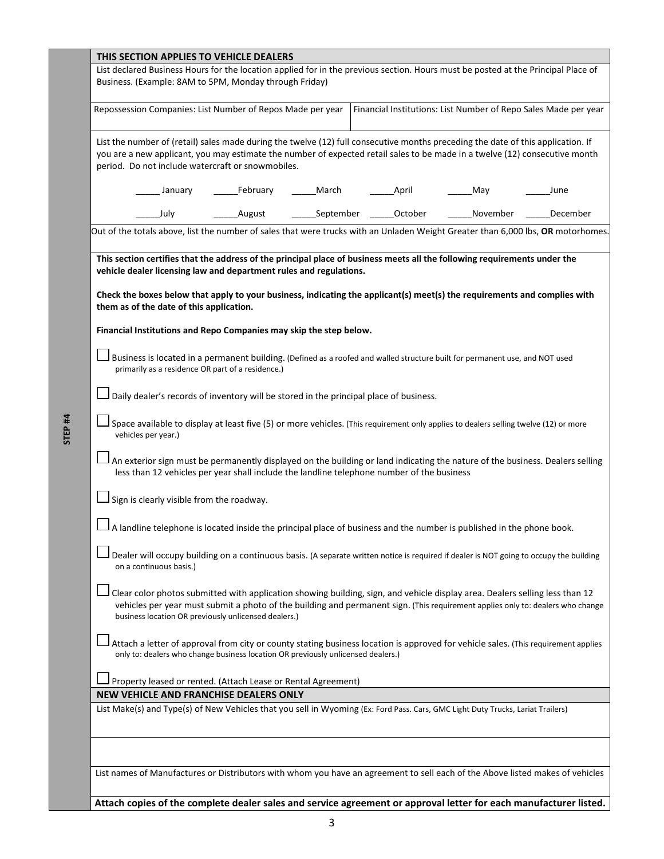| THIS SECTION APPLIES TO VEHICLE DEALERS                                                                                                                                                                                                                                                                                                                                  |  |  |  |  |
|--------------------------------------------------------------------------------------------------------------------------------------------------------------------------------------------------------------------------------------------------------------------------------------------------------------------------------------------------------------------------|--|--|--|--|
| List declared Business Hours for the location applied for in the previous section. Hours must be posted at the Principal Place of<br>Business. (Example: 8AM to 5PM, Monday through Friday)                                                                                                                                                                              |  |  |  |  |
| Financial Institutions: List Number of Repo Sales Made per year<br>Repossession Companies: List Number of Repos Made per year                                                                                                                                                                                                                                            |  |  |  |  |
| List the number of (retail) sales made during the twelve (12) full consecutive months preceding the date of this application. If<br>you are a new applicant, you may estimate the number of expected retail sales to be made in a twelve (12) consecutive month<br>period. Do not include watercraft or snowmobiles.                                                     |  |  |  |  |
| February<br>March<br>April<br>January<br>May<br>June                                                                                                                                                                                                                                                                                                                     |  |  |  |  |
| September<br>October<br>July<br>November<br>December<br>August                                                                                                                                                                                                                                                                                                           |  |  |  |  |
| Out of the totals above, list the number of sales that were trucks with an Unladen Weight Greater than 6,000 lbs, OR motorhomes.                                                                                                                                                                                                                                         |  |  |  |  |
| This section certifies that the address of the principal place of business meets all the following requirements under the<br>vehicle dealer licensing law and department rules and regulations.<br>Check the boxes below that apply to your business, indicating the applicant(s) meet(s) the requirements and complies with<br>them as of the date of this application. |  |  |  |  |
| Financial Institutions and Repo Companies may skip the step below.                                                                                                                                                                                                                                                                                                       |  |  |  |  |
| Business is located in a permanent building. (Defined as a roofed and walled structure built for permanent use, and NOT used<br>primarily as a residence OR part of a residence.)                                                                                                                                                                                        |  |  |  |  |
| Daily dealer's records of inventory will be stored in the principal place of business.                                                                                                                                                                                                                                                                                   |  |  |  |  |
| Space available to display at least five (5) or more vehicles. (This requirement only applies to dealers selling twelve (12) or more<br>vehicles per year.)                                                                                                                                                                                                              |  |  |  |  |
| An exterior sign must be permanently displayed on the building or land indicating the nature of the business. Dealers selling<br>less than 12 vehicles per year shall include the landline telephone number of the business                                                                                                                                              |  |  |  |  |
| Sign is clearly visible from the roadway.                                                                                                                                                                                                                                                                                                                                |  |  |  |  |
| A landline telephone is located inside the principal place of business and the number is published in the phone book.                                                                                                                                                                                                                                                    |  |  |  |  |
| Dealer will occupy building on a continuous basis. (A separate written notice is required if dealer is NOT going to occupy the building<br>on a continuous basis.)                                                                                                                                                                                                       |  |  |  |  |
| Clear color photos submitted with application showing building, sign, and vehicle display area. Dealers selling less than 12<br>vehicles per year must submit a photo of the building and permanent sign. (This requirement applies only to: dealers who change<br>business location OR previously unlicensed dealers.)                                                  |  |  |  |  |
| Attach a letter of approval from city or county stating business location is approved for vehicle sales. (This requirement applies<br>only to: dealers who change business location OR previously unlicensed dealers.)                                                                                                                                                   |  |  |  |  |
| Property leased or rented. (Attach Lease or Rental Agreement)                                                                                                                                                                                                                                                                                                            |  |  |  |  |
| NEW VEHICLE AND FRANCHISE DEALERS ONLY                                                                                                                                                                                                                                                                                                                                   |  |  |  |  |
| List Make(s) and Type(s) of New Vehicles that you sell in Wyoming (Ex: Ford Pass. Cars, GMC Light Duty Trucks, Lariat Trailers)                                                                                                                                                                                                                                          |  |  |  |  |
|                                                                                                                                                                                                                                                                                                                                                                          |  |  |  |  |
| List names of Manufactures or Distributors with whom you have an agreement to sell each of the Above listed makes of vehicles                                                                                                                                                                                                                                            |  |  |  |  |
| Attach copies of the complete dealer sales and service agreement or approval letter for each manufacturer listed.                                                                                                                                                                                                                                                        |  |  |  |  |

**STEP #4**